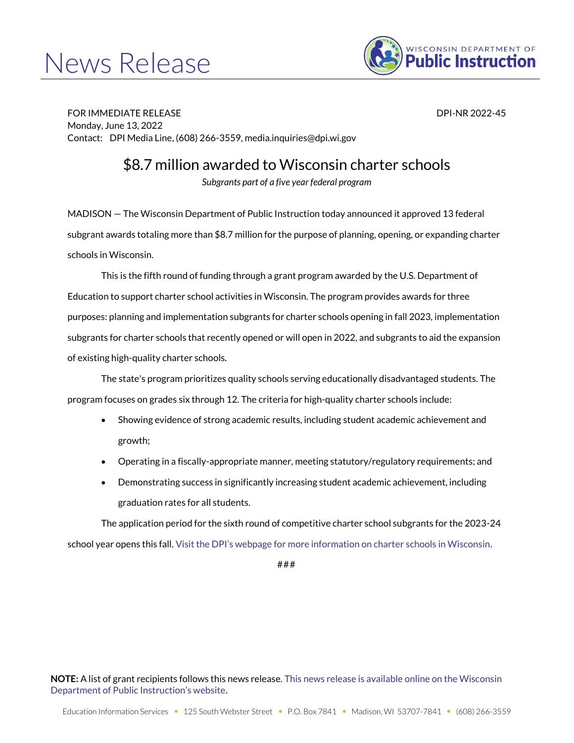# News Release



FOR IMMEDIATE RELEASE DPI-NR 2022-45 Monday, June 13, 2022 Contact: DPI Media Line, (608) 266-3559, media.inquiries@dpi.wi.gov

\$8.7 million awarded to Wisconsin charter schools

*Subgrants part of a five year federal program*

MADISON — The Wisconsin Department of Public Instruction today announced it approved 13 federal subgrant awards totaling more than \$8.7 million for the purpose of planning, opening, or expanding charter schools in Wisconsin.

This is the fifth round of funding through a grant program awarded by the U.S. Department of Education to support charter school activities in Wisconsin. The program provides awards for three purposes: planning and implementation subgrants for charter schools opening in fall 2023, implementation subgrants for charter schools that recently opened or will open in 2022, and subgrants to aid the expansion of existing high-quality charter schools.

The state's program prioritizes quality schools serving educationally disadvantaged students. The program focuses on grades six through 12. The criteria for high-quality charter schools include:

- Showing evidence of strong academic results, including student academic achievement and growth;
- Operating in a fiscally-appropriate manner, meeting statutory/regulatory requirements; and
- Demonstrating success in significantly increasing student academic achievement, including graduation rates for all students.

The application period for the sixth round of competitive charter school subgrants for the 2023-24 school year opens this fall. [Visit the DPI's webpage for more information on charter schools in Wisconsin](https://dpi.wi.gov/parental-education-options/charter-schools).

## #

**NOTE:** A list of grant recipients follows this news release[. This news release is available online on the Wisconsin](https://dpi.wi.gov/news/releases/2022/charter-school-grants)  [Department of Public Instruction's website](https://dpi.wi.gov/news/releases/2022/charter-school-grants).